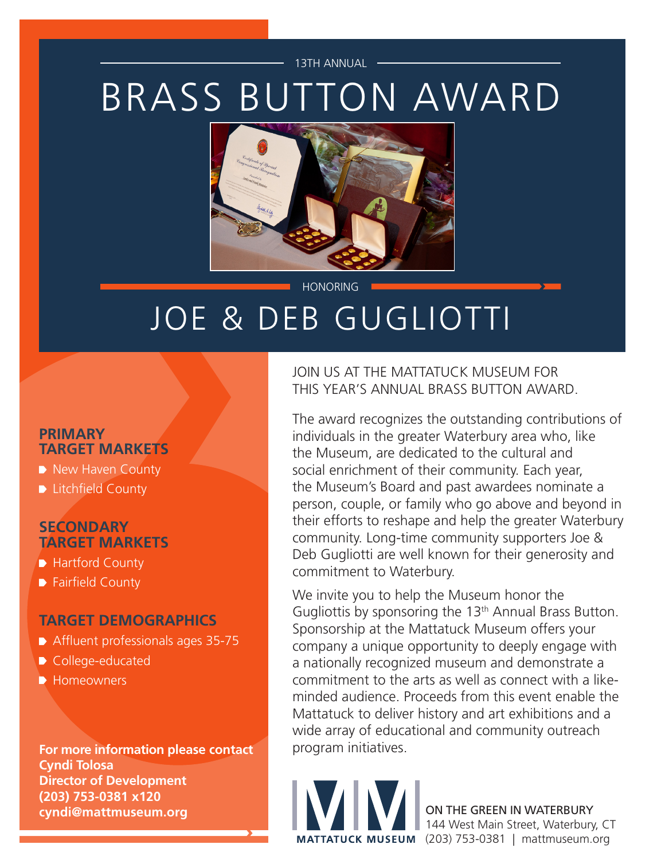#### 13TH ANNUAL

# BRASS BUTTON AWARD



**HONORING** 

## JOE & DEB GUGLIOTTI

#### **PRIMARY TARGET MARKETS**

- New Haven County
- **Litchfield County**

#### **SECONDARY TARGET MARKETS**

- Hartford County
- Fairfield County

#### **TARGET DEMOGRAPHICS**

- Affluent professionals ages 35-75
- College-educated
- **Homeowners**

**For more information please contact Cyndi Tolosa Director of Development (203) 753-0381 x120 cyndi@mattmuseum.org** ON THE GREEN IN WATERBURY

JOIN US AT THE MATTATUCK MUSEUM FOR THIS YEAR'S ANNUAL BRASS BUTTON AWARD.

The award recognizes the outstanding contributions of individuals in the greater Waterbury area who, like the Museum, are dedicated to the cultural and social enrichment of their community. Each year, the Museum's Board and past awardees nominate a person, couple, or family who go above and beyond in their efforts to reshape and help the greater Waterbury community. Long-time community supporters Joe & Deb Gugliotti are well known for their generosity and commitment to Waterbury.

We invite you to help the Museum honor the Gugliottis by sponsoring the 13<sup>th</sup> Annual Brass Button. Sponsorship at the Mattatuck Museum offers your company a unique opportunity to deeply engage with a nationally recognized museum and demonstrate a commitment to the arts as well as connect with a likeminded audience. Proceeds from this event enable the Mattatuck to deliver history and art exhibitions and a wide array of educational and community outreach program initiatives.



144 West Main Street, Waterbury, CT MATTATUCK MUSEUM (203) 753-0381 | mattmuseum.org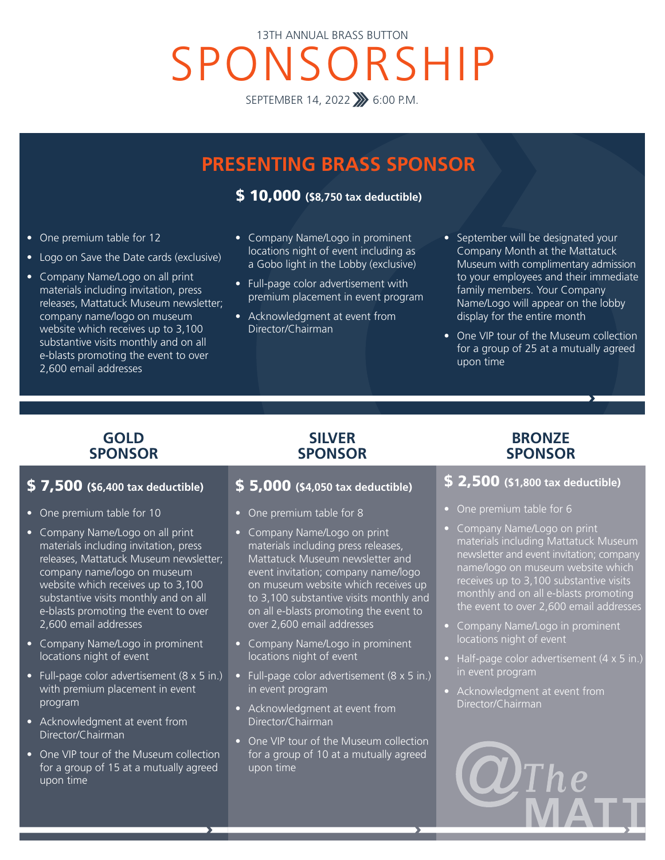## SPONSORSHIP 13TH ANNUAL BRASS BUTTON

SEPTEMBER 14, 2022 >> 6:00 P.M.

### **PRESENTING BRASS SPONSOR**

\$ 10,000 **(\$8,750 tax deductible)**

- One premium table for 12
- Logo on Save the Date cards (exclusive)
- Company Name/Logo on all print materials including invitation, press releases, Mattatuck Museum newsletter; company name/logo on museum website which receives up to 3,100 substantive visits monthly and on all e-blasts promoting the event to over 2,600 email addresses
- Company Name/Logo in prominent locations night of event including as a Gobo light in the Lobby (exclusive)
- Full-page color advertisement with premium placement in event program
- Acknowledgment at event from Director/Chairman
- September will be designated your Company Month at the Mattatuck Museum with complimentary admission to your employees and their immediate family members. Your Company Name/Logo will appear on the lobby display for the entire month
- One VIP tour of the Museum collection for a group of 25 at a mutually agreed upon time

#### **GOLD SPONSOR**

#### \$ 7,500 **(\$6,400 tax deductible)**

- One premium table for 10
- Company Name/Logo on all print materials including invitation, press releases, Mattatuck Museum newsletter; company name/logo on museum website which receives up to 3,100 substantive visits monthly and on all e-blasts promoting the event to over 2,600 email addresses
- Company Name/Logo in prominent locations night of event
- Full-page color advertisement (8 x 5 in.) with premium placement in event program
- Acknowledgment at event from Director/Chairman
- One VIP tour of the Museum collection for a group of 15 at a mutually agreed upon time

#### \$ 5,000 **(\$4,050 tax deductible)**

**SILVER SPONSOR**

- One premium table for 8
- Company Name/Logo on print materials including press releases, Mattatuck Museum newsletter and event invitation; company name/logo on museum website which receives up to 3,100 substantive visits monthly and on all e-blasts promoting the event to over 2,600 email addresses
- Company Name/Logo in prominent locations night of event
- Full-page color advertisement (8 x 5 in.) in event program
- Acknowledgment at event from Director/Chairman
- One VIP tour of the Museum collection for a group of 10 at a mutually agreed upon time

#### **BRONZE SPONSOR**

#### \$ 2,500 **(\$1,800 tax deductible)**

- One premium table for 6
- Company Name/Logo on print materials including Mattatuck Museum newsletter and event invitation; company name/logo on museum website which receives up to 3,100 substantive visits monthly and on all e-blasts promoting the event to over 2,600 email addresses
- Company Name/Logo in prominent locations night of event
- Half-page color advertisement (4 x 5 in.) in event program
- Acknowledgment at event from Director/Chairman